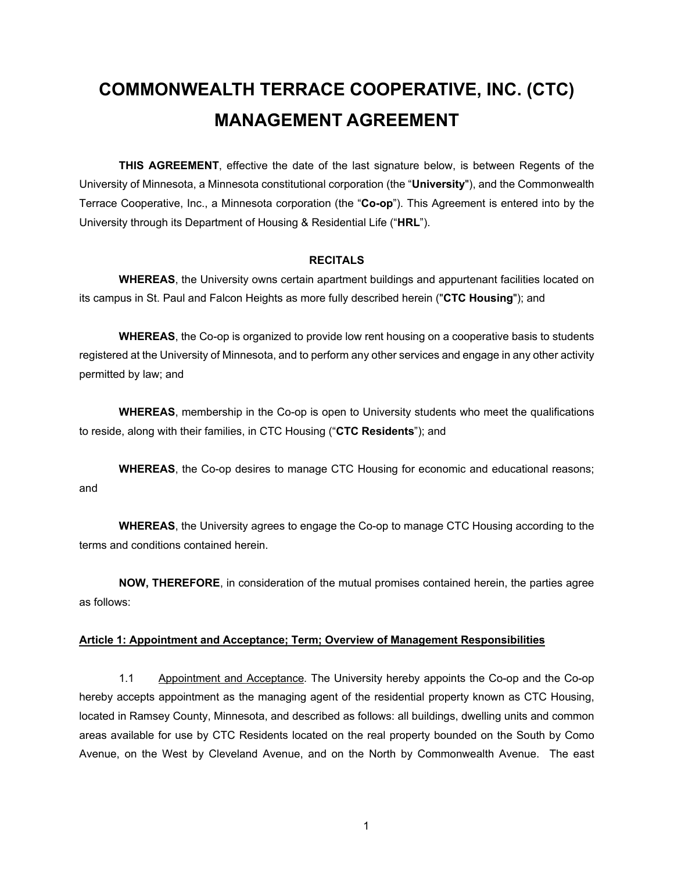# **COMMONWEALTH TERRACE COOPERATIVE, INC. (CTC) MANAGEMENT AGREEMENT**

**THIS AGREEMENT**, effective the date of the last signature below, is between Regents of the University of Minnesota, a Minnesota constitutional corporation (the "**University**"), and the Commonwealth Terrace Cooperative, Inc., a Minnesota corporation (the "**Co-op**"). This Agreement is entered into by the University through its Department of Housing & Residential Life ("**HRL**").

#### **RECITALS**

**WHEREAS**, the University owns certain apartment buildings and appurtenant facilities located on its campus in St. Paul and Falcon Heights as more fully described herein ("**CTC Housing**"); and

**WHEREAS**, the Co-op is organized to provide low rent housing on a cooperative basis to students registered at the University of Minnesota, and to perform any other services and engage in any other activity permitted by law; and

**WHEREAS**, membership in the Co-op is open to University students who meet the qualifications to reside, along with their families, in CTC Housing ("**CTC Residents**"); and

**WHEREAS**, the Co-op desires to manage CTC Housing for economic and educational reasons; and

**WHEREAS**, the University agrees to engage the Co-op to manage CTC Housing according to the terms and conditions contained herein.

**NOW, THEREFORE**, in consideration of the mutual promises contained herein, the parties agree as follows:

#### **Article 1: Appointment and Acceptance; Term; Overview of Management Responsibilities**

1.1 Appointment and Acceptance*.* The University hereby appoints the Co-op and the Co-op hereby accepts appointment as the managing agent of the residential property known as CTC Housing, located in Ramsey County, Minnesota, and described as follows: all buildings, dwelling units and common areas available for use by CTC Residents located on the real property bounded on the South by Como Avenue, on the West by Cleveland Avenue, and on the North by Commonwealth Avenue. The east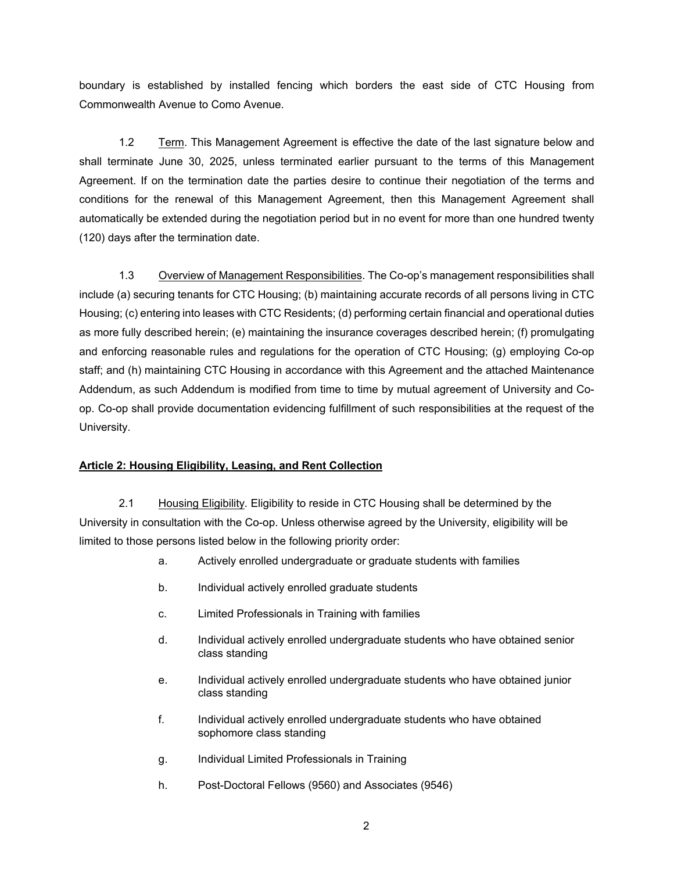boundary is established by installed fencing which borders the east side of CTC Housing from Commonwealth Avenue to Como Avenue.

 1.2 Term. This Management Agreement is effective the date of the last signature below and shall terminate June 30, 2025, unless terminated earlier pursuant to the terms of this Management Agreement. If on the termination date the parties desire to continue their negotiation of the terms and conditions for the renewal of this Management Agreement, then this Management Agreement shall automatically be extended during the negotiation period but in no event for more than one hundred twenty (120) days after the termination date.

 1.3 Overview of Management Responsibilities. The Co-op's management responsibilities shall include (a) securing tenants for CTC Housing; (b) maintaining accurate records of all persons living in CTC Housing; (c) entering into leases with CTC Residents; (d) performing certain financial and operational duties as more fully described herein; (e) maintaining the insurance coverages described herein; (f) promulgating and enforcing reasonable rules and regulations for the operation of CTC Housing; (g) employing Co-op staff; and (h) maintaining CTC Housing in accordance with this Agreement and the attached Maintenance Addendum, as such Addendum is modified from time to time by mutual agreement of University and Coop. Co-op shall provide documentation evidencing fulfillment of such responsibilities at the request of the University.

# **Article 2: Housing Eligibility, Leasing, and Rent Collection**

 2.1 Housing Eligibility*.* Eligibility to reside in CTC Housing shall be determined by the University in consultation with the Co-op. Unless otherwise agreed by the University, eligibility will be limited to those persons listed below in the following priority order:

- a. Actively enrolled undergraduate or graduate students with families
- b. Individual actively enrolled graduate students
- c. Limited Professionals in Training with families
- d. Individual actively enrolled undergraduate students who have obtained senior class standing
- e. Individual actively enrolled undergraduate students who have obtained junior class standing
- f. Individual actively enrolled undergraduate students who have obtained sophomore class standing
- g. Individual Limited Professionals in Training
- h. Post-Doctoral Fellows (9560) and Associates (9546)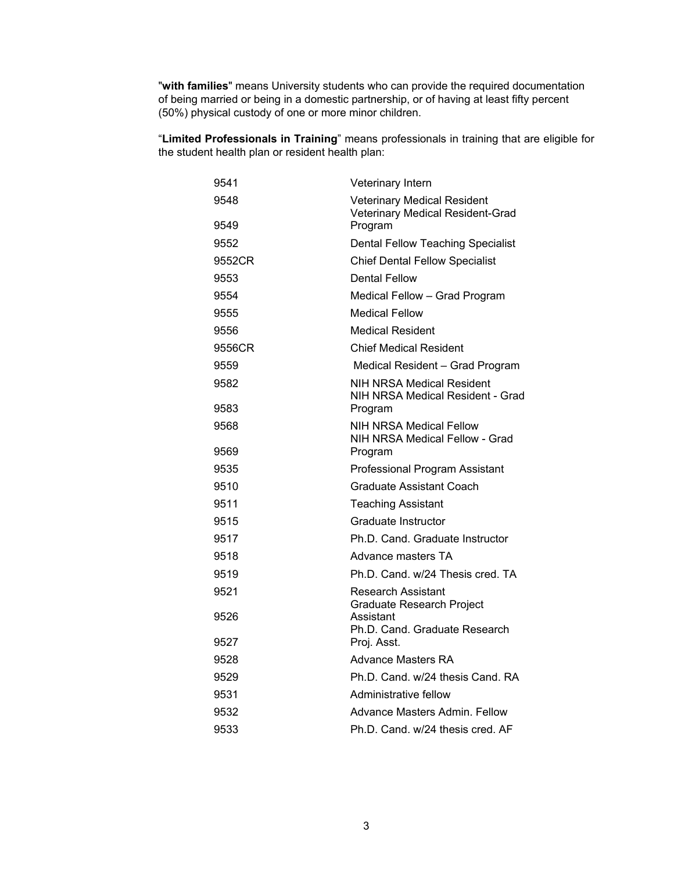"**with families**" means University students who can provide the required documentation of being married or being in a domestic partnership, or of having at least fifty percent (50%) physical custody of one or more minor children.

"**Limited Professionals in Training**" means professionals in training that are eligible for the student health plan or resident health plan:

| 9541         | Veterinary Intern                                                                 |
|--------------|-----------------------------------------------------------------------------------|
| 9548<br>9549 | <b>Veterinary Medical Resident</b><br>Veterinary Medical Resident-Grad<br>Program |
| 9552         | <b>Dental Fellow Teaching Specialist</b>                                          |
| 9552CR       | <b>Chief Dental Fellow Specialist</b>                                             |
| 9553         | <b>Dental Fellow</b>                                                              |
| 9554         | Medical Fellow - Grad Program                                                     |
| 9555         | <b>Medical Fellow</b>                                                             |
| 9556         | <b>Medical Resident</b>                                                           |
| 9556CR       | <b>Chief Medical Resident</b>                                                     |
| 9559         | Medical Resident - Grad Program                                                   |
| 9582         | NIH NRSA Medical Resident<br>NIH NRSA Medical Resident - Grad                     |
| 9583         | Program                                                                           |
| 9568         | <b>NIH NRSA Medical Fellow</b><br>NIH NRSA Medical Fellow - Grad                  |
| 9569         | Program                                                                           |
| 9535         | Professional Program Assistant                                                    |
| 9510         | Graduate Assistant Coach                                                          |
| 9511         | <b>Teaching Assistant</b>                                                         |
| 9515         | Graduate Instructor                                                               |
| 9517         | Ph.D. Cand. Graduate Instructor                                                   |
| 9518         | Advance masters TA                                                                |
| 9519         | Ph.D. Cand. w/24 Thesis cred. TA                                                  |
| 9521         | <b>Research Assistant</b><br><b>Graduate Research Project</b>                     |
| 9526         | Assistant<br>Ph.D. Cand. Graduate Research                                        |
| 9527         | Proj. Asst.                                                                       |
| 9528         | Advance Masters RA                                                                |
| 9529         | Ph.D. Cand. w/24 thesis Cand. RA                                                  |
| 9531         | Administrative fellow                                                             |
| 9532         | Advance Masters Admin. Fellow                                                     |
| 9533         | Ph.D. Cand. w/24 thesis cred. AF                                                  |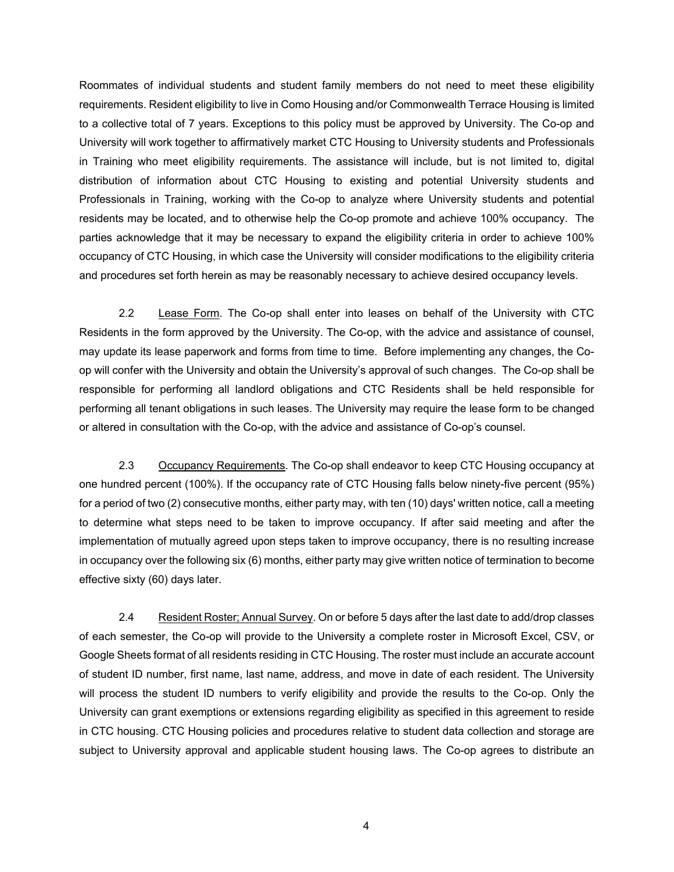Roommates of individual students and student family members do not need to meet these eligibility requirements. Resident eligibility to live in Como Housing and/or Commonwealth Terrace Housing is limited to a collective total of 7 years. Exceptions to this policy must be approved by University. The Co-op and University will work together to affirmatively market CTC Housing to University students and Professionals in Training who meet eligibility requirements. The assistance will include, but is not limited to, digital distribution of information about CTC Housing to existing and potential University students and Professionals in Training, working with the Co-op to analyze where University students and potential residents may be located, and to otherwise help the Co-op promote and achieve 100% occupancy. The parties acknowledge that it may be necessary to expand the eligibility criteria in order to achieve 100% occupancy of CTC Housing, in which case the University will consider modifications to the eligibility criteria and procedures set forth herein as may be reasonably necessary to achieve desired occupancy levels.

 2.2 Lease Form. The Co-op shall enter into leases on behalf of the University with CTC Residents in the form approved by the University. The Co-op, with the advice and assistance of counsel, may update its lease paperwork and forms from time to time. Before implementing any changes, the Coop will confer with the University and obtain the University's approval of such changes. The Co-op shall be responsible for performing all landlord obligations and CTC Residents shall be held responsible for performing all tenant obligations in such leases. The University may require the lease form to be changed or altered in consultation with the Co-op, with the advice and assistance of Co-op's counsel.

2.3 Occupancy Requirements. The Co-op shall endeavor to keep CTC Housing occupancy at one hundred percent (100%). If the occupancy rate of CTC Housing falls below ninety-five percent (95%) for a period of two (2) consecutive months, either party may, with ten (10) days' written notice, call a meeting to determine what steps need to be taken to improve occupancy. If after said meeting and after the implementation of mutually agreed upon steps taken to improve occupancy, there is no resulting increase in occupancy over the following six (6) months, either party may give written notice of termination to become effective sixty (60) days later.

2.4 Resident Roster; Annual Survey. On or before 5 days after the last date to add/drop classes of each semester, the Co-op will provide to the University a complete roster in Microsoft Excel, CSV, or Google Sheets format of all residents residing in CTC Housing. The roster must include an accurate account of student ID number, first name, last name, address, and move in date of each resident. The University will process the student ID numbers to verify eligibility and provide the results to the Co-op. Only the University can grant exemptions or extensions regarding eligibility as specified in this agreement to reside in CTC housing. CTC Housing policies and procedures relative to student data collection and storage are subject to University approval and applicable student housing laws. The Co-op agrees to distribute an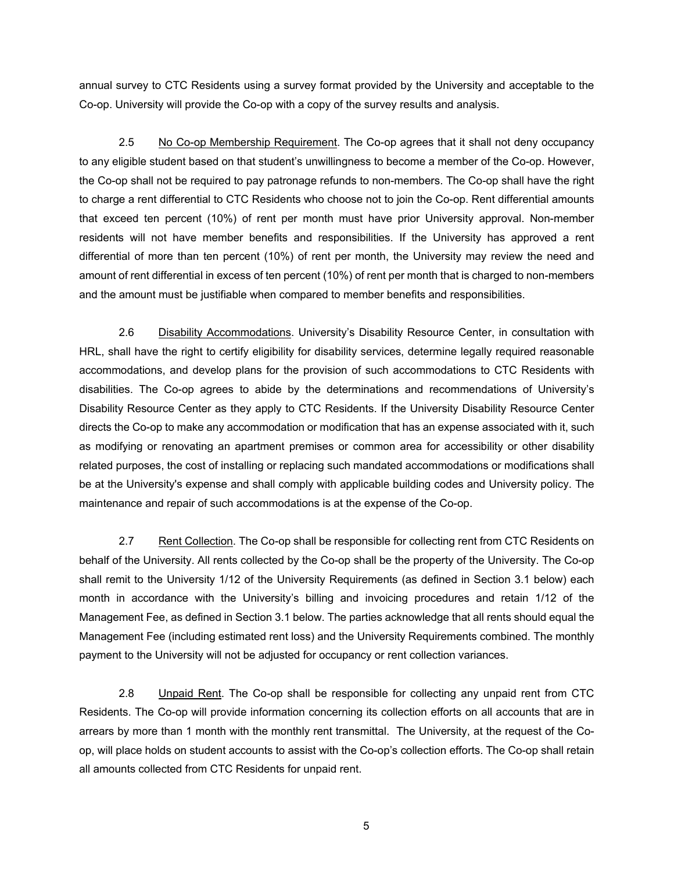annual survey to CTC Residents using a survey format provided by the University and acceptable to the Co-op. University will provide the Co-op with a copy of the survey results and analysis.

2.5 No Co-op Membership Requirement. The Co-op agrees that it shall not deny occupancy to any eligible student based on that student's unwillingness to become a member of the Co-op. However, the Co-op shall not be required to pay patronage refunds to non-members. The Co-op shall have the right to charge a rent differential to CTC Residents who choose not to join the Co-op. Rent differential amounts that exceed ten percent (10%) of rent per month must have prior University approval. Non-member residents will not have member benefits and responsibilities. If the University has approved a rent differential of more than ten percent (10%) of rent per month, the University may review the need and amount of rent differential in excess of ten percent (10%) of rent per month that is charged to non-members and the amount must be justifiable when compared to member benefits and responsibilities.

2.6 Disability Accommodations. University's Disability Resource Center, in consultation with HRL, shall have the right to certify eligibility for disability services, determine legally required reasonable accommodations, and develop plans for the provision of such accommodations to CTC Residents with disabilities. The Co-op agrees to abide by the determinations and recommendations of University's Disability Resource Center as they apply to CTC Residents. If the University Disability Resource Center directs the Co-op to make any accommodation or modification that has an expense associated with it, such as modifying or renovating an apartment premises or common area for accessibility or other disability related purposes, the cost of installing or replacing such mandated accommodations or modifications shall be at the University's expense and shall comply with applicable building codes and University policy. The maintenance and repair of such accommodations is at the expense of the Co-op.

2.7 Rent Collection. The Co-op shall be responsible for collecting rent from CTC Residents on behalf of the University. All rents collected by the Co-op shall be the property of the University. The Co-op shall remit to the University 1/12 of the University Requirements (as defined in Section 3.1 below) each month in accordance with the University's billing and invoicing procedures and retain 1/12 of the Management Fee, as defined in Section 3.1 below. The parties acknowledge that all rents should equal the Management Fee (including estimated rent loss) and the University Requirements combined. The monthly payment to the University will not be adjusted for occupancy or rent collection variances.

2.8 Unpaid Rent. The Co-op shall be responsible for collecting any unpaid rent from CTC Residents. The Co-op will provide information concerning its collection efforts on all accounts that are in arrears by more than 1 month with the monthly rent transmittal. The University, at the request of the Coop, will place holds on student accounts to assist with the Co-op's collection efforts. The Co-op shall retain all amounts collected from CTC Residents for unpaid rent.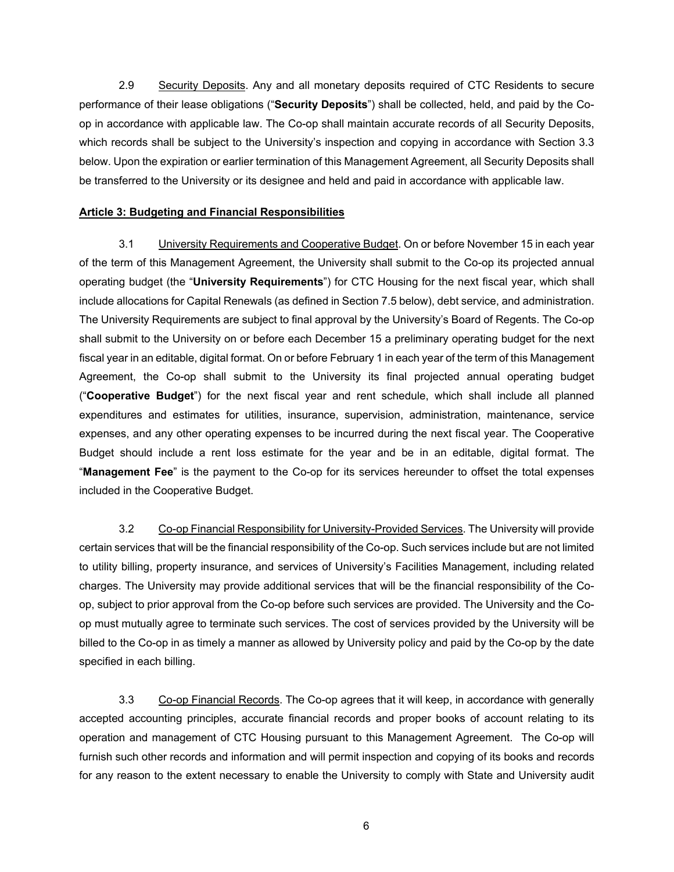2.9 Security Deposits. Any and all monetary deposits required of CTC Residents to secure performance of their lease obligations ("**Security Deposits**") shall be collected, held, and paid by the Coop in accordance with applicable law. The Co-op shall maintain accurate records of all Security Deposits, which records shall be subject to the University's inspection and copying in accordance with Section 3.3 below. Upon the expiration or earlier termination of this Management Agreement, all Security Deposits shall be transferred to the University or its designee and held and paid in accordance with applicable law.

# **Article 3: Budgeting and Financial Responsibilities**

 3.1 University Requirements and Cooperative Budget. On or before November 15 in each year of the term of this Management Agreement, the University shall submit to the Co-op its projected annual operating budget (the "**University Requirements**") for CTC Housing for the next fiscal year, which shall include allocations for Capital Renewals (as defined in Section 7.5 below), debt service, and administration. The University Requirements are subject to final approval by the University's Board of Regents. The Co-op shall submit to the University on or before each December 15 a preliminary operating budget for the next fiscal year in an editable, digital format. On or before February 1 in each year of the term of this Management Agreement, the Co-op shall submit to the University its final projected annual operating budget ("**Cooperative Budget**") for the next fiscal year and rent schedule, which shall include all planned expenditures and estimates for utilities, insurance, supervision, administration, maintenance, service expenses, and any other operating expenses to be incurred during the next fiscal year. The Cooperative Budget should include a rent loss estimate for the year and be in an editable, digital format. The "**Management Fee**" is the payment to the Co-op for its services hereunder to offset the total expenses included in the Cooperative Budget.

 3.2 Co-op Financial Responsibility for University-Provided Services. The University will provide certain services that will be the financial responsibility of the Co-op. Such services include but are not limited to utility billing, property insurance, and services of University's Facilities Management, including related charges. The University may provide additional services that will be the financial responsibility of the Coop, subject to prior approval from the Co-op before such services are provided. The University and the Coop must mutually agree to terminate such services. The cost of services provided by the University will be billed to the Co-op in as timely a manner as allowed by University policy and paid by the Co-op by the date specified in each billing.

 3.3 Co-op Financial Records. The Co-op agrees that it will keep, in accordance with generally accepted accounting principles, accurate financial records and proper books of account relating to its operation and management of CTC Housing pursuant to this Management Agreement. The Co-op will furnish such other records and information and will permit inspection and copying of its books and records for any reason to the extent necessary to enable the University to comply with State and University audit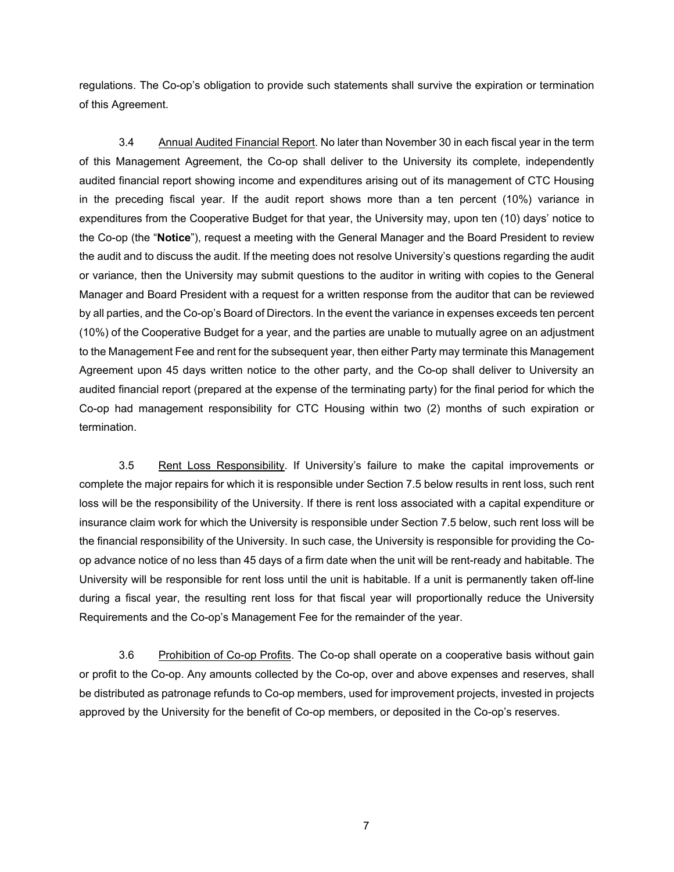regulations. The Co-op's obligation to provide such statements shall survive the expiration or termination of this Agreement.

3.4 Annual Audited Financial Report. No later than November 30 in each fiscal year in the term of this Management Agreement, the Co-op shall deliver to the University its complete, independently audited financial report showing income and expenditures arising out of its management of CTC Housing in the preceding fiscal year. If the audit report shows more than a ten percent (10%) variance in expenditures from the Cooperative Budget for that year, the University may, upon ten (10) days' notice to the Co-op (the "**Notice**"), request a meeting with the General Manager and the Board President to review the audit and to discuss the audit. If the meeting does not resolve University's questions regarding the audit or variance, then the University may submit questions to the auditor in writing with copies to the General Manager and Board President with a request for a written response from the auditor that can be reviewed by all parties, and the Co-op's Board of Directors. In the event the variance in expenses exceeds ten percent (10%) of the Cooperative Budget for a year, and the parties are unable to mutually agree on an adjustment to the Management Fee and rent for the subsequent year, then either Party may terminate this Management Agreement upon 45 days written notice to the other party, and the Co-op shall deliver to University an audited financial report (prepared at the expense of the terminating party) for the final period for which the Co-op had management responsibility for CTC Housing within two (2) months of such expiration or termination.

3.5 Rent Loss Responsibility. If University's failure to make the capital improvements or complete the major repairs for which it is responsible under Section 7.5 below results in rent loss, such rent loss will be the responsibility of the University. If there is rent loss associated with a capital expenditure or insurance claim work for which the University is responsible under Section 7.5 below, such rent loss will be the financial responsibility of the University. In such case, the University is responsible for providing the Coop advance notice of no less than 45 days of a firm date when the unit will be rent-ready and habitable. The University will be responsible for rent loss until the unit is habitable. If a unit is permanently taken off-line during a fiscal year, the resulting rent loss for that fiscal year will proportionally reduce the University Requirements and the Co-op's Management Fee for the remainder of the year.

3.6 Prohibition of Co-op Profits. The Co-op shall operate on a cooperative basis without gain or profit to the Co-op. Any amounts collected by the Co-op, over and above expenses and reserves, shall be distributed as patronage refunds to Co-op members, used for improvement projects, invested in projects approved by the University for the benefit of Co-op members, or deposited in the Co-op's reserves.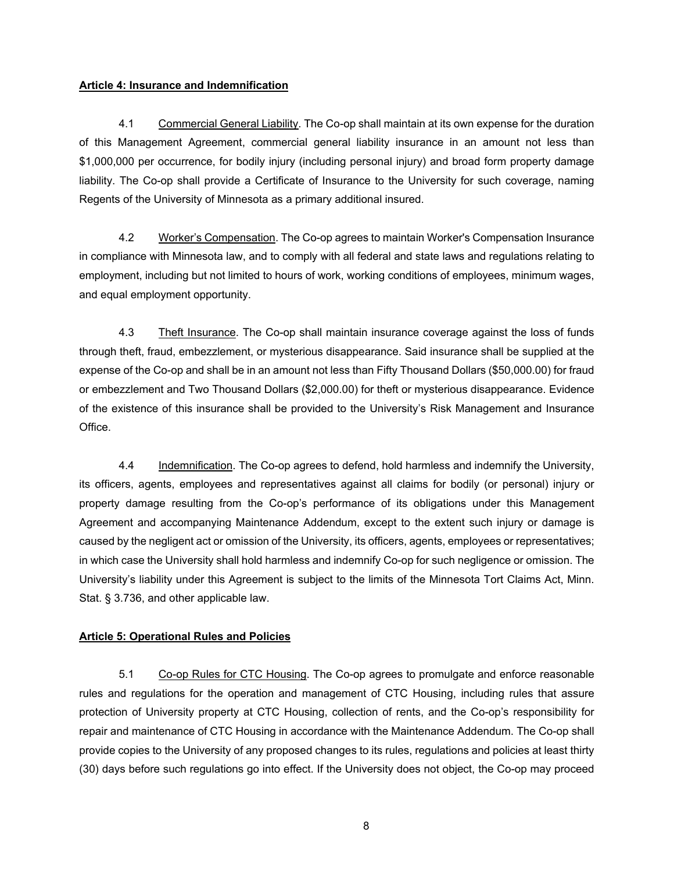#### **Article 4: Insurance and Indemnification**

 4.1 Commercial General Liability. The Co-op shall maintain at its own expense for the duration of this Management Agreement, commercial general liability insurance in an amount not less than \$1,000,000 per occurrence, for bodily injury (including personal injury) and broad form property damage liability. The Co-op shall provide a Certificate of Insurance to the University for such coverage, naming Regents of the University of Minnesota as a primary additional insured.

 4.2 Worker's Compensation. The Co-op agrees to maintain Worker's Compensation Insurance in compliance with Minnesota law, and to comply with all federal and state laws and regulations relating to employment, including but not limited to hours of work, working conditions of employees, minimum wages, and equal employment opportunity.

4.3 Theft Insurance. The Co-op shall maintain insurance coverage against the loss of funds through theft, fraud, embezzlement, or mysterious disappearance. Said insurance shall be supplied at the expense of the Co-op and shall be in an amount not less than Fifty Thousand Dollars (\$50,000.00) for fraud or embezzlement and Two Thousand Dollars (\$2,000.00) for theft or mysterious disappearance. Evidence of the existence of this insurance shall be provided to the University's Risk Management and Insurance Office.

4.4 Indemnification. The Co-op agrees to defend, hold harmless and indemnify the University, its officers, agents, employees and representatives against all claims for bodily (or personal) injury or property damage resulting from the Co-op's performance of its obligations under this Management Agreement and accompanying Maintenance Addendum, except to the extent such injury or damage is caused by the negligent act or omission of the University, its officers, agents, employees or representatives; in which case the University shall hold harmless and indemnify Co-op for such negligence or omission. The University's liability under this Agreement is subject to the limits of the Minnesota Tort Claims Act, Minn. Stat. § 3.736, and other applicable law.

# **Article 5: Operational Rules and Policies**

 5.1 Co-op Rules for CTC Housing. The Co-op agrees to promulgate and enforce reasonable rules and regulations for the operation and management of CTC Housing, including rules that assure protection of University property at CTC Housing, collection of rents, and the Co-op's responsibility for repair and maintenance of CTC Housing in accordance with the Maintenance Addendum. The Co-op shall provide copies to the University of any proposed changes to its rules, regulations and policies at least thirty (30) days before such regulations go into effect. If the University does not object, the Co-op may proceed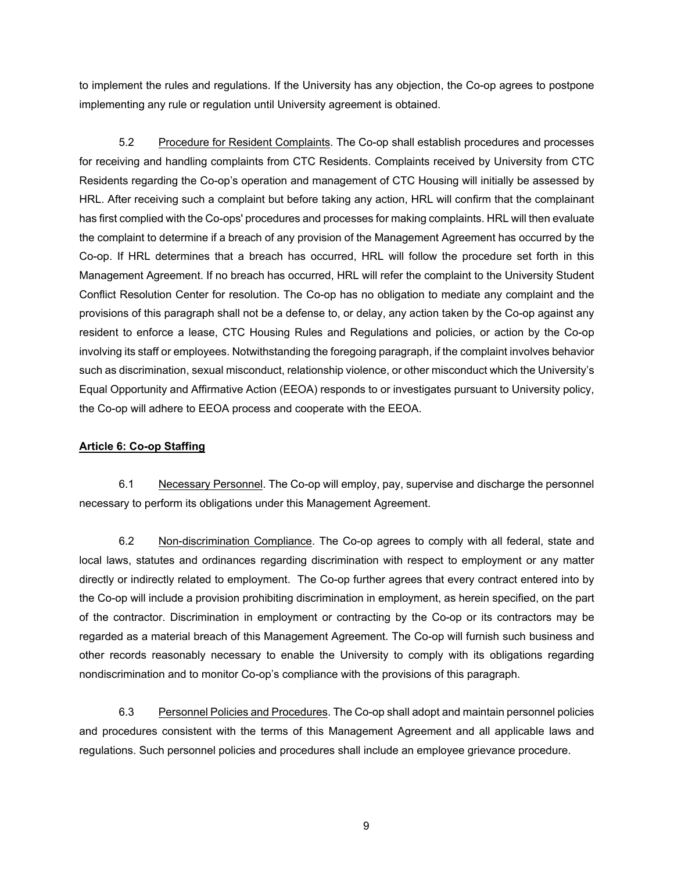to implement the rules and regulations. If the University has any objection, the Co-op agrees to postpone implementing any rule or regulation until University agreement is obtained.

 5.2 Procedure for Resident Complaints. The Co-op shall establish procedures and processes for receiving and handling complaints from CTC Residents. Complaints received by University from CTC Residents regarding the Co-op's operation and management of CTC Housing will initially be assessed by HRL. After receiving such a complaint but before taking any action, HRL will confirm that the complainant has first complied with the Co-ops' procedures and processes for making complaints. HRL will then evaluate the complaint to determine if a breach of any provision of the Management Agreement has occurred by the Co-op. If HRL determines that a breach has occurred, HRL will follow the procedure set forth in this Management Agreement. If no breach has occurred, HRL will refer the complaint to the University Student Conflict Resolution Center for resolution. The Co-op has no obligation to mediate any complaint and the provisions of this paragraph shall not be a defense to, or delay, any action taken by the Co-op against any resident to enforce a lease, CTC Housing Rules and Regulations and policies, or action by the Co-op involving its staff or employees. Notwithstanding the foregoing paragraph, if the complaint involves behavior such as discrimination, sexual misconduct, relationship violence, or other misconduct which the University's Equal Opportunity and Affirmative Action (EEOA) responds to or investigates pursuant to University policy, the Co-op will adhere to EEOA process and cooperate with the EEOA.

# **Article 6: Co-op Staffing**

 6.1 Necessary Personnel. The Co-op will employ, pay, supervise and discharge the personnel necessary to perform its obligations under this Management Agreement.

 6.2 Non-discrimination Compliance. The Co-op agrees to comply with all federal, state and local laws, statutes and ordinances regarding discrimination with respect to employment or any matter directly or indirectly related to employment. The Co-op further agrees that every contract entered into by the Co-op will include a provision prohibiting discrimination in employment, as herein specified, on the part of the contractor. Discrimination in employment or contracting by the Co-op or its contractors may be regarded as a material breach of this Management Agreement. The Co-op will furnish such business and other records reasonably necessary to enable the University to comply with its obligations regarding nondiscrimination and to monitor Co-op's compliance with the provisions of this paragraph.

6.3 Personnel Policies and Procedures. The Co-op shall adopt and maintain personnel policies and procedures consistent with the terms of this Management Agreement and all applicable laws and regulations. Such personnel policies and procedures shall include an employee grievance procedure.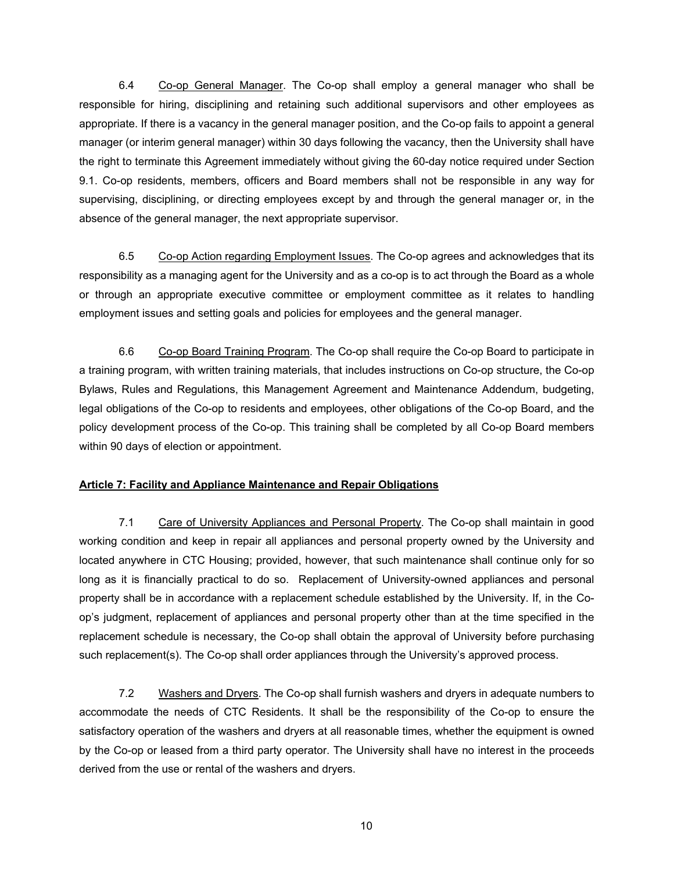6.4 Co-op General Manager. The Co-op shall employ a general manager who shall be responsible for hiring, disciplining and retaining such additional supervisors and other employees as appropriate. If there is a vacancy in the general manager position, and the Co-op fails to appoint a general manager (or interim general manager) within 30 days following the vacancy, then the University shall have the right to terminate this Agreement immediately without giving the 60-day notice required under Section 9.1. Co-op residents, members, officers and Board members shall not be responsible in any way for supervising, disciplining, or directing employees except by and through the general manager or, in the absence of the general manager, the next appropriate supervisor.

 6.5 Co-op Action regarding Employment Issues. The Co-op agrees and acknowledges that its responsibility as a managing agent for the University and as a co-op is to act through the Board as a whole or through an appropriate executive committee or employment committee as it relates to handling employment issues and setting goals and policies for employees and the general manager.

 6.6 Co-op Board Training Program. The Co-op shall require the Co-op Board to participate in a training program, with written training materials, that includes instructions on Co-op structure, the Co-op Bylaws, Rules and Regulations, this Management Agreement and Maintenance Addendum, budgeting, legal obligations of the Co-op to residents and employees, other obligations of the Co-op Board, and the policy development process of the Co-op. This training shall be completed by all Co-op Board members within 90 days of election or appointment.

# **Article 7: Facility and Appliance Maintenance and Repair Obligations**

 7.1 Care of University Appliances and Personal Property. The Co-op shall maintain in good working condition and keep in repair all appliances and personal property owned by the University and located anywhere in CTC Housing; provided, however, that such maintenance shall continue only for so long as it is financially practical to do so. Replacement of University-owned appliances and personal property shall be in accordance with a replacement schedule established by the University. If, in the Coop's judgment, replacement of appliances and personal property other than at the time specified in the replacement schedule is necessary, the Co-op shall obtain the approval of University before purchasing such replacement(s). The Co-op shall order appliances through the University's approved process.

 7.2 Washers and Dryers. The Co-op shall furnish washers and dryers in adequate numbers to accommodate the needs of CTC Residents. It shall be the responsibility of the Co-op to ensure the satisfactory operation of the washers and dryers at all reasonable times, whether the equipment is owned by the Co-op or leased from a third party operator. The University shall have no interest in the proceeds derived from the use or rental of the washers and dryers.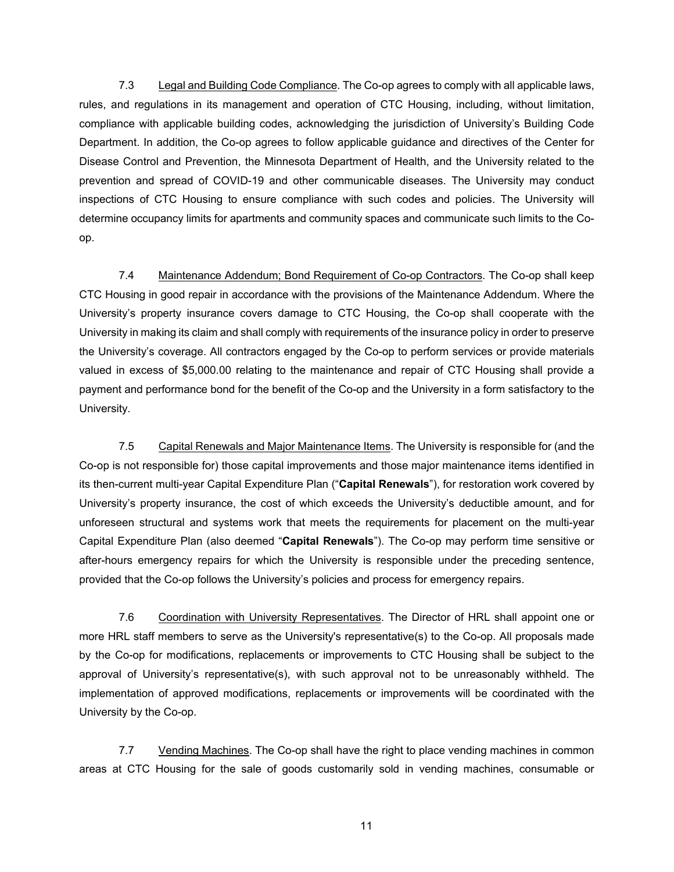7.3 Legal and Building Code Compliance. The Co-op agrees to comply with all applicable laws, rules, and regulations in its management and operation of CTC Housing, including, without limitation, compliance with applicable building codes, acknowledging the jurisdiction of University's Building Code Department. In addition, the Co-op agrees to follow applicable guidance and directives of the Center for Disease Control and Prevention, the Minnesota Department of Health, and the University related to the prevention and spread of COVID-19 and other communicable diseases. The University may conduct inspections of CTC Housing to ensure compliance with such codes and policies. The University will determine occupancy limits for apartments and community spaces and communicate such limits to the Coop.

7.4 Maintenance Addendum; Bond Requirement of Co-op Contractors. The Co-op shall keep CTC Housing in good repair in accordance with the provisions of the Maintenance Addendum. Where the University's property insurance covers damage to CTC Housing, the Co-op shall cooperate with the University in making its claim and shall comply with requirements of the insurance policy in order to preserve the University's coverage. All contractors engaged by the Co-op to perform services or provide materials valued in excess of \$5,000.00 relating to the maintenance and repair of CTC Housing shall provide a payment and performance bond for the benefit of the Co-op and the University in a form satisfactory to the University.

7.5 Capital Renewals and Major Maintenance Items. The University is responsible for (and the Co-op is not responsible for) those capital improvements and those major maintenance items identified in its then-current multi-year Capital Expenditure Plan ("**Capital Renewals**"), for restoration work covered by University's property insurance, the cost of which exceeds the University's deductible amount, and for unforeseen structural and systems work that meets the requirements for placement on the multi-year Capital Expenditure Plan (also deemed "**Capital Renewals**"). The Co-op may perform time sensitive or after-hours emergency repairs for which the University is responsible under the preceding sentence, provided that the Co-op follows the University's policies and process for emergency repairs.

7.6 Coordination with University Representatives. The Director of HRL shall appoint one or more HRL staff members to serve as the University's representative(s) to the Co-op. All proposals made by the Co-op for modifications, replacements or improvements to CTC Housing shall be subject to the approval of University's representative(s), with such approval not to be unreasonably withheld. The implementation of approved modifications, replacements or improvements will be coordinated with the University by the Co-op.

7.7 Vending Machines. The Co-op shall have the right to place vending machines in common areas at CTC Housing for the sale of goods customarily sold in vending machines, consumable or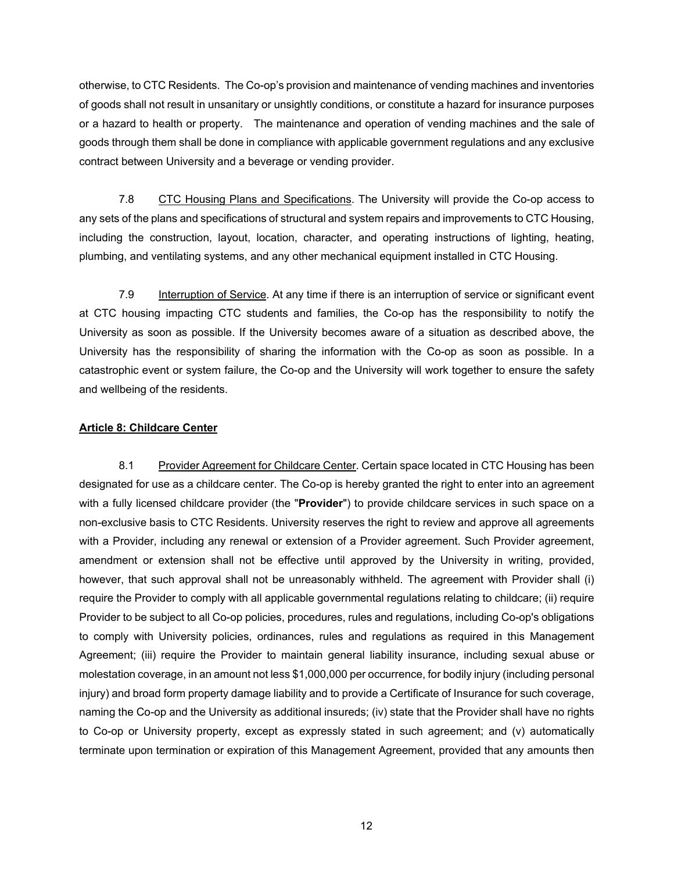otherwise, to CTC Residents. The Co-op's provision and maintenance of vending machines and inventories of goods shall not result in unsanitary or unsightly conditions, or constitute a hazard for insurance purposes or a hazard to health or property. The maintenance and operation of vending machines and the sale of goods through them shall be done in compliance with applicable government regulations and any exclusive contract between University and a beverage or vending provider.

7.8 CTC Housing Plans and Specifications. The University will provide the Co-op access to any sets of the plans and specifications of structural and system repairs and improvements to CTC Housing, including the construction, layout, location, character, and operating instructions of lighting, heating, plumbing, and ventilating systems, and any other mechanical equipment installed in CTC Housing.

7.9 Interruption of Service. At any time if there is an interruption of service or significant event at CTC housing impacting CTC students and families, the Co-op has the responsibility to notify the University as soon as possible. If the University becomes aware of a situation as described above, the University has the responsibility of sharing the information with the Co-op as soon as possible. In a catastrophic event or system failure, the Co-op and the University will work together to ensure the safety and wellbeing of the residents.

#### **Article 8: Childcare Center**

8.1 Provider Agreement for Childcare Center. Certain space located in CTC Housing has been designated for use as a childcare center. The Co-op is hereby granted the right to enter into an agreement with a fully licensed childcare provider (the "**Provider**") to provide childcare services in such space on a non-exclusive basis to CTC Residents. University reserves the right to review and approve all agreements with a Provider, including any renewal or extension of a Provider agreement. Such Provider agreement, amendment or extension shall not be effective until approved by the University in writing, provided, however, that such approval shall not be unreasonably withheld. The agreement with Provider shall (i) require the Provider to comply with all applicable governmental regulations relating to childcare; (ii) require Provider to be subject to all Co-op policies, procedures, rules and regulations, including Co-op's obligations to comply with University policies, ordinances, rules and regulations as required in this Management Agreement; (iii) require the Provider to maintain general liability insurance, including sexual abuse or molestation coverage, in an amount not less \$1,000,000 per occurrence, for bodily injury (including personal injury) and broad form property damage liability and to provide a Certificate of Insurance for such coverage, naming the Co-op and the University as additional insureds; (iv) state that the Provider shall have no rights to Co-op or University property, except as expressly stated in such agreement; and (v) automatically terminate upon termination or expiration of this Management Agreement, provided that any amounts then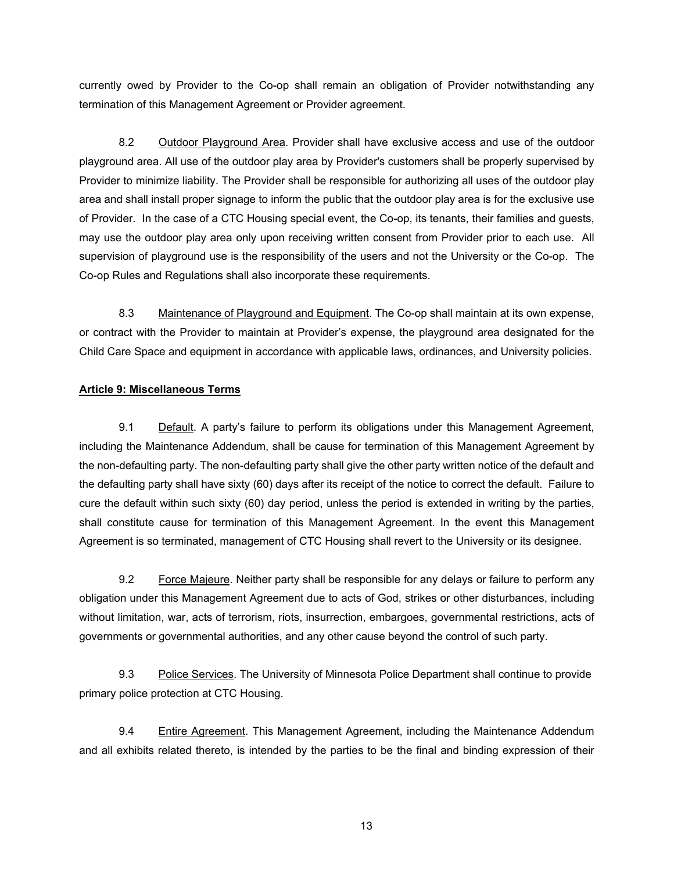currently owed by Provider to the Co-op shall remain an obligation of Provider notwithstanding any termination of this Management Agreement or Provider agreement.

 8.2 Outdoor Playground Area. Provider shall have exclusive access and use of the outdoor playground area. All use of the outdoor play area by Provider's customers shall be properly supervised by Provider to minimize liability. The Provider shall be responsible for authorizing all uses of the outdoor play area and shall install proper signage to inform the public that the outdoor play area is for the exclusive use of Provider. In the case of a CTC Housing special event, the Co-op, its tenants, their families and guests, may use the outdoor play area only upon receiving written consent from Provider prior to each use. All supervision of playground use is the responsibility of the users and not the University or the Co-op. The Co-op Rules and Regulations shall also incorporate these requirements.

8.3 Maintenance of Playground and Equipment. The Co-op shall maintain at its own expense, or contract with the Provider to maintain at Provider's expense, the playground area designated for the Child Care Space and equipment in accordance with applicable laws, ordinances, and University policies.

# **Article 9: Miscellaneous Terms**

 9.1 Default. A party's failure to perform its obligations under this Management Agreement, including the Maintenance Addendum, shall be cause for termination of this Management Agreement by the non-defaulting party. The non-defaulting party shall give the other party written notice of the default and the defaulting party shall have sixty (60) days after its receipt of the notice to correct the default. Failure to cure the default within such sixty (60) day period, unless the period is extended in writing by the parties, shall constitute cause for termination of this Management Agreement. In the event this Management Agreement is so terminated, management of CTC Housing shall revert to the University or its designee.

 9.2 Force Majeure. Neither party shall be responsible for any delays or failure to perform any obligation under this Management Agreement due to acts of God, strikes or other disturbances, including without limitation, war, acts of terrorism, riots, insurrection, embargoes, governmental restrictions, acts of governments or governmental authorities, and any other cause beyond the control of such party.

 9.3 Police Services. The University of Minnesota Police Department shall continue to provide primary police protection at CTC Housing.

9.4 Entire Agreement. This Management Agreement, including the Maintenance Addendum and all exhibits related thereto, is intended by the parties to be the final and binding expression of their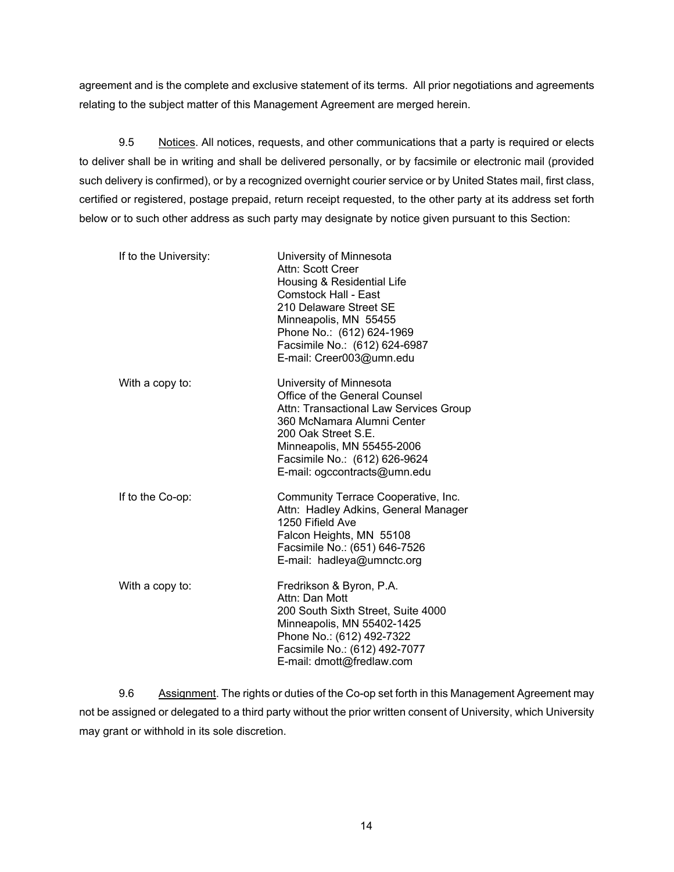agreement and is the complete and exclusive statement of its terms. All prior negotiations and agreements relating to the subject matter of this Management Agreement are merged herein.

 9.5 Notices. All notices, requests, and other communications that a party is required or elects to deliver shall be in writing and shall be delivered personally, or by facsimile or electronic mail (provided such delivery is confirmed), or by a recognized overnight courier service or by United States mail, first class, certified or registered, postage prepaid, return receipt requested, to the other party at its address set forth below or to such other address as such party may designate by notice given pursuant to this Section:

| If to the University: | University of Minnesota<br>Attn: Scott Creer<br>Housing & Residential Life<br><b>Comstock Hall - East</b><br>210 Delaware Street SE<br>Minneapolis, MN 55455<br>Phone No.: (612) 624-1969<br>Facsimile No.: (612) 624-6987<br>E-mail: Creer003@umn.edu |
|-----------------------|--------------------------------------------------------------------------------------------------------------------------------------------------------------------------------------------------------------------------------------------------------|
| With a copy to:       | University of Minnesota<br>Office of the General Counsel<br>Attn: Transactional Law Services Group<br>360 McNamara Alumni Center<br>200 Oak Street S.E.<br>Minneapolis, MN 55455-2006<br>Facsimile No.: (612) 626-9624<br>E-mail: ogccontracts@umn.edu |
| If to the Co-op:      | Community Terrace Cooperative, Inc.<br>Attn: Hadley Adkins, General Manager<br>1250 Fifield Ave<br>Falcon Heights, MN 55108<br>Facsimile No.: (651) 646-7526<br>E-mail: hadleya@umnctc.org                                                             |
| With a copy to:       | Fredrikson & Byron, P.A.<br>Attn: Dan Mott<br>200 South Sixth Street, Suite 4000<br>Minneapolis, MN 55402-1425<br>Phone No.: (612) 492-7322<br>Facsimile No.: (612) 492-7077<br>E-mail: dmott@fredlaw.com                                              |

9.6 Assignment. The rights or duties of the Co-op set forth in this Management Agreement may not be assigned or delegated to a third party without the prior written consent of University, which University may grant or withhold in its sole discretion.